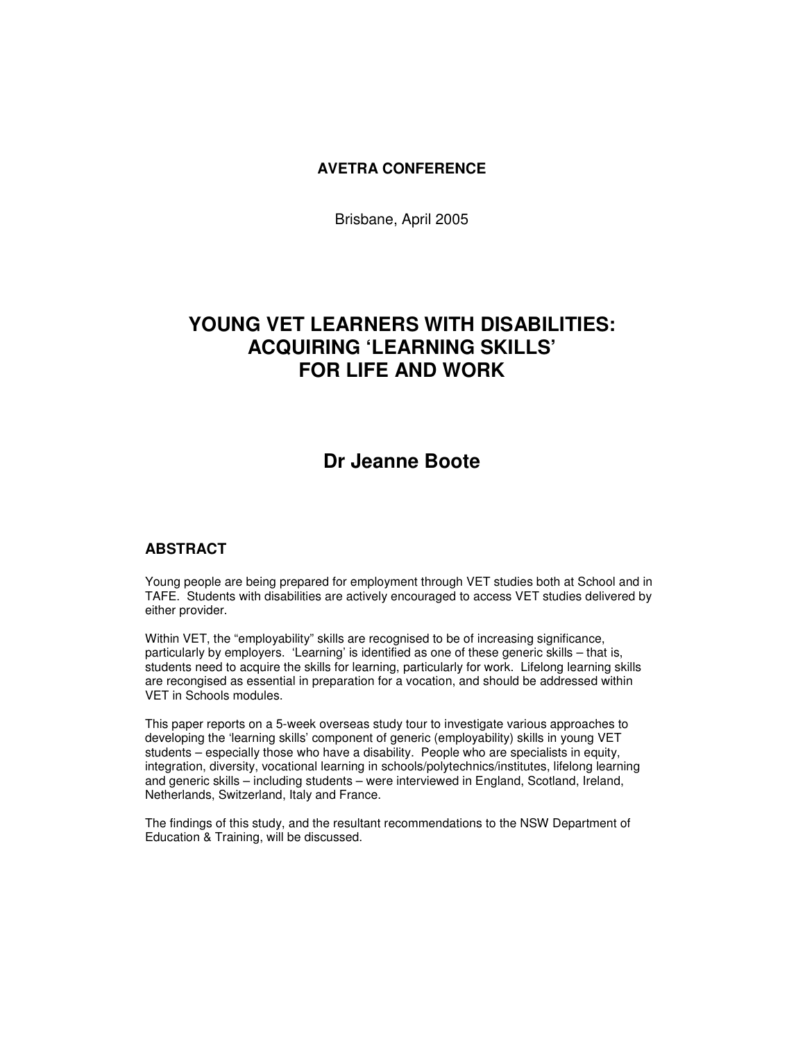#### **AVETRA CONFERENCE**

Brisbane, April 2005

# **YOUNG VET LEARNERS WITH DISABILITIES: ACQUIRING 'LEARNING SKILLS' FOR LIFE AND WORK**

# **Dr Jeanne Boote**

#### **ABSTRACT**

Young people are being prepared for employment through VET studies both at School and in TAFE. Students with disabilities are actively encouraged to access VET studies delivered by either provider.

Within VET, the "employability" skills are recognised to be of increasing significance, particularly by employers. 'Learning' is identified as one of these generic skills – that is, students need to acquire the skills for learning, particularly for work. Lifelong learning skills are recongised as essential in preparation for a vocation, and should be addressed within VET in Schools modules.

This paper reports on a 5-week overseas study tour to investigate various approaches to developing the 'learning skills' component of generic (employability) skills in young VET students – especially those who have a disability. People who are specialists in equity, integration, diversity, vocational learning in schools/polytechnics/institutes, lifelong learning and generic skills – including students – were interviewed in England, Scotland, Ireland, Netherlands, Switzerland, Italy and France.

The findings of this study, and the resultant recommendations to the NSW Department of Education & Training, will be discussed.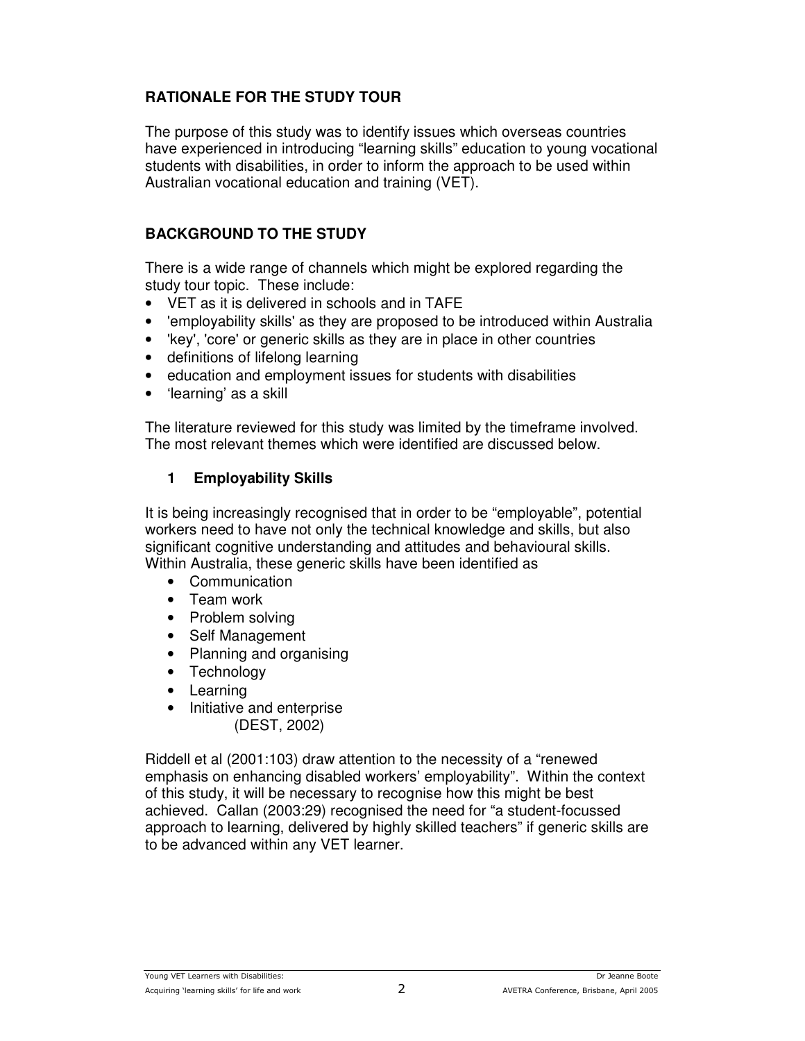# **RATIONALE FOR THE STUDY TOUR**

The purpose of this study was to identify issues which overseas countries have experienced in introducing "learning skills" education to young vocational students with disabilities, in order to inform the approach to be used within Australian vocational education and training (VET).

### **BACKGROUND TO THE STUDY**

There is a wide range of channels which might be explored regarding the study tour topic. These include:

- VET as it is delivered in schools and in TAFE
- 'employability skills'as they are proposed to be introduced within Australia
- 'key', 'core'or generic skills as they are in place in other countries
- definitions of lifelong learning
- education and employment issues for students with disabilities
- 'learning' as a skill

The literature reviewed for this study was limited by the timeframe involved. The most relevant themes which were identified are discussed below.

### **1 Employability Skills**

It is being increasingly recognised that in order to be "employable", potential workers need to have not only the technical knowledge and skills, but also significant cognitive understanding and attitudes and behavioural skills. Within Australia, these generic skills have been identified as

- Communication
- Team work
- Problem solving
- Self Management
- Planning and organising
- Technology
- Learning
- Initiative and enterprise (DEST, 2002)

Riddell et al (2001:103) draw attention to the necessity of a "renewed emphasis on enhancing disabled workers' employability". Within the context of this study, it will be necessary to recognise how this might be best achieved. Callan (2003:29) recognised the need for "a student-focussed approach to learning, delivered by highly skilled teachers" if generic skills are to be advanced within any VET learner.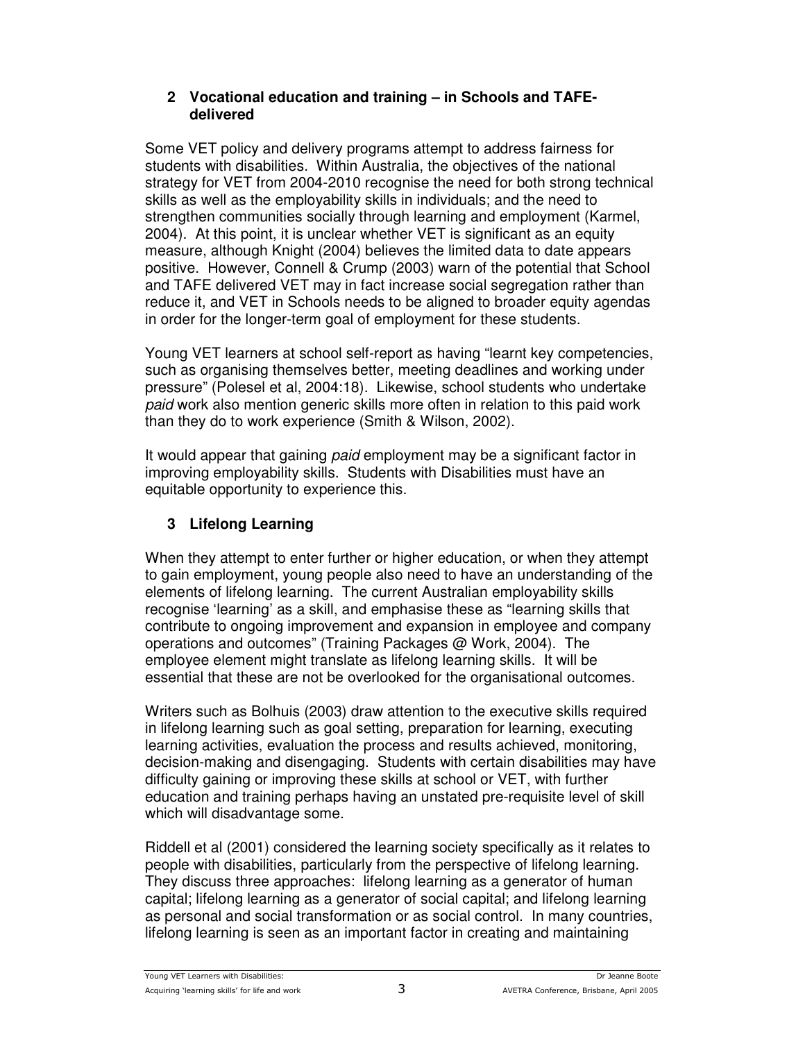#### **2 Vocational education and training – in Schools and TAFEdelivered**

Some VET policy and delivery programs attempt to address fairness for students with disabilities. Within Australia, the objectives of the national strategy for VET from 2004-2010 recognise the need for both strong technical skills as well as the employability skills in individuals; and the need to strengthen communities socially through learning and employment (Karmel, 2004). At this point, it is unclear whether VET is significant as an equity measure, although Knight (2004) believes the limited data to date appears positive. However, Connell & Crump (2003) warn of the potential that School and TAFE delivered VET may in fact increase social segregation rather than reduce it, and VET in Schools needs to be aligned to broader equity agendas in order for the longer-term goal of employment for these students.

Young VET learners at school self-report as having "learnt key competencies, such as organising themselves better, meeting deadlines and working under pressure" (Polesel et al, 2004:18). Likewise, school students who undertake *paid* work also mention generic skills more often in relation to this paid work than they do to work experience (Smith & Wilson, 2002).

It would appear that gaining *paid* employment may be a significant factor in improving employability skills. Students with Disabilities must have an equitable opportunity to experience this.

# **3 Lifelong Learning**

When they attempt to enter further or higher education, or when they attempt to gain employment, young people also need to have an understanding of the elements of lifelong learning. The current Australian employability skills recognise 'learning' as a skill, and emphasise these as "learning skills that contribute to ongoing improvement and expansion in employee and company operations and outcomes" (Training Packages @ Work, 2004). The employee element might translate as lifelong learning skills. It will be essential that these are not be overlooked for the organisational outcomes.

Writers such as Bolhuis (2003) draw attention to the executive skills required in lifelong learning such as goal setting, preparation for learning, executing learning activities, evaluation the process and results achieved, monitoring, decision-making and disengaging. Students with certain disabilities may have difficulty gaining or improving these skills at school or VET, with further education and training perhaps having an unstated pre-requisite level of skill which will disadvantage some.

Riddell et al (2001) considered the learning society specifically as it relates to people with disabilities, particularly from the perspective of lifelong learning. They discuss three approaches: lifelong learning as a generator of human capital; lifelong learning as a generator of social capital; and lifelong learning as personal and social transformation or as social control. In many countries, lifelong learning is seen as an important factor in creating and maintaining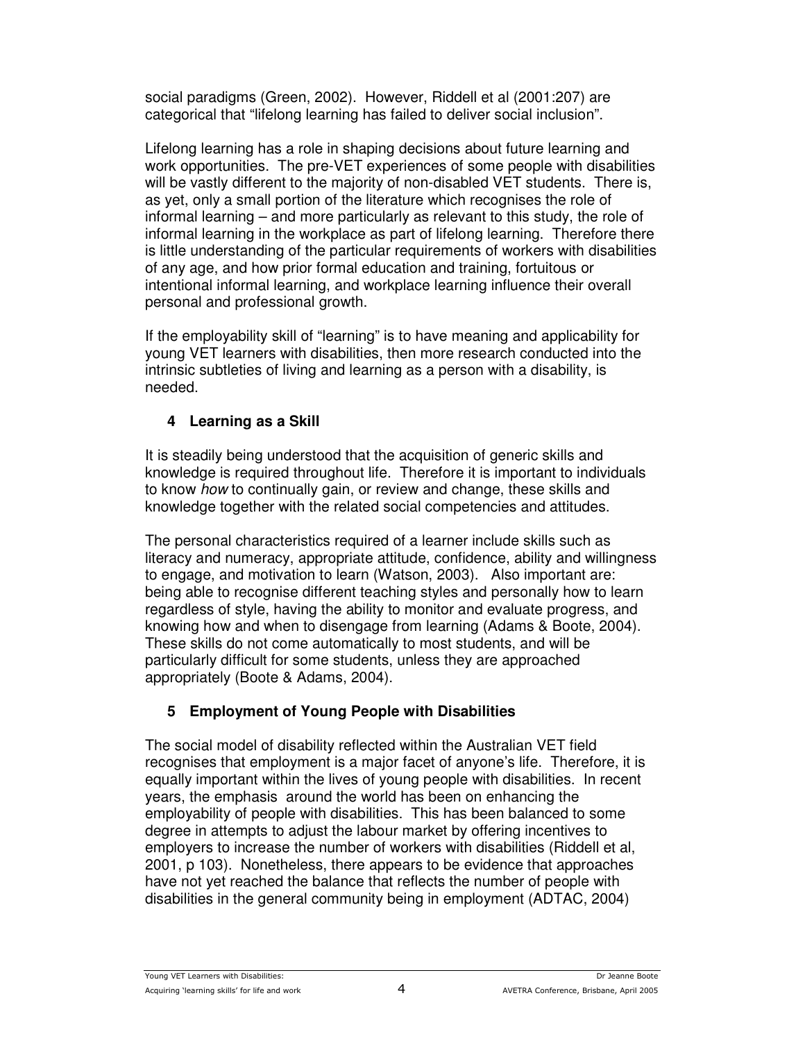social paradigms (Green, 2002). However, Riddell et al (2001:207) are categorical that "lifelong learning has failed to deliver social inclusion".

Lifelong learning has a role in shaping decisions about future learning and work opportunities. The pre-VET experiences of some people with disabilities will be vastly different to the majority of non-disabled VET students. There is, as yet, only a small portion of the literature which recognises the role of informal learning – and more particularly as relevant to this study, the role of informal learning in the workplace as part of lifelong learning. Therefore there is little understanding of the particular requirements of workers with disabilities of any age, and how prior formal education and training, fortuitous or intentional informal learning, and workplace learning influence their overall personal and professional growth.

If the employability skill of "learning" is to have meaning and applicability for young VET learners with disabilities, then more research conducted into the intrinsic subtleties of living and learning as a person with a disability, is needed.

# **4 Learning as a Skill**

It is steadily being understood that the acquisition of generic skills and knowledge is required throughout life. Therefore it is important to individuals to know *how* to continually gain, or review and change, these skills and knowledge together with the related social competencies and attitudes.

The personal characteristics required of a learner include skills such as literacy and numeracy, appropriate attitude, confidence, ability and willingness to engage, and motivation to learn (Watson, 2003). Also important are: being able to recognise different teaching styles and personally how to learn regardless of style, having the ability to monitor and evaluate progress, and knowing how and when to disengage from learning (Adams & Boote, 2004). These skills do not come automatically to most students, and will be particularly difficult for some students, unless they are approached appropriately (Boote & Adams, 2004).

# **5 Employment of Young People with Disabilities**

The social model of disability reflected within the Australian VET field recognises that employment is a major facet of anyone's life. Therefore, it is equally important within the lives of young people with disabilities. In recent years, the emphasis around the world has been on enhancing the employability of people with disabilities. This has been balanced to some degree in attempts to adjust the labour market by offering incentives to employers to increase the number of workers with disabilities (Riddell et al, 2001, p 103). Nonetheless, there appears to be evidence that approaches have not yet reached the balance that reflects the number of people with disabilities in the general community being in employment (ADTAC, 2004)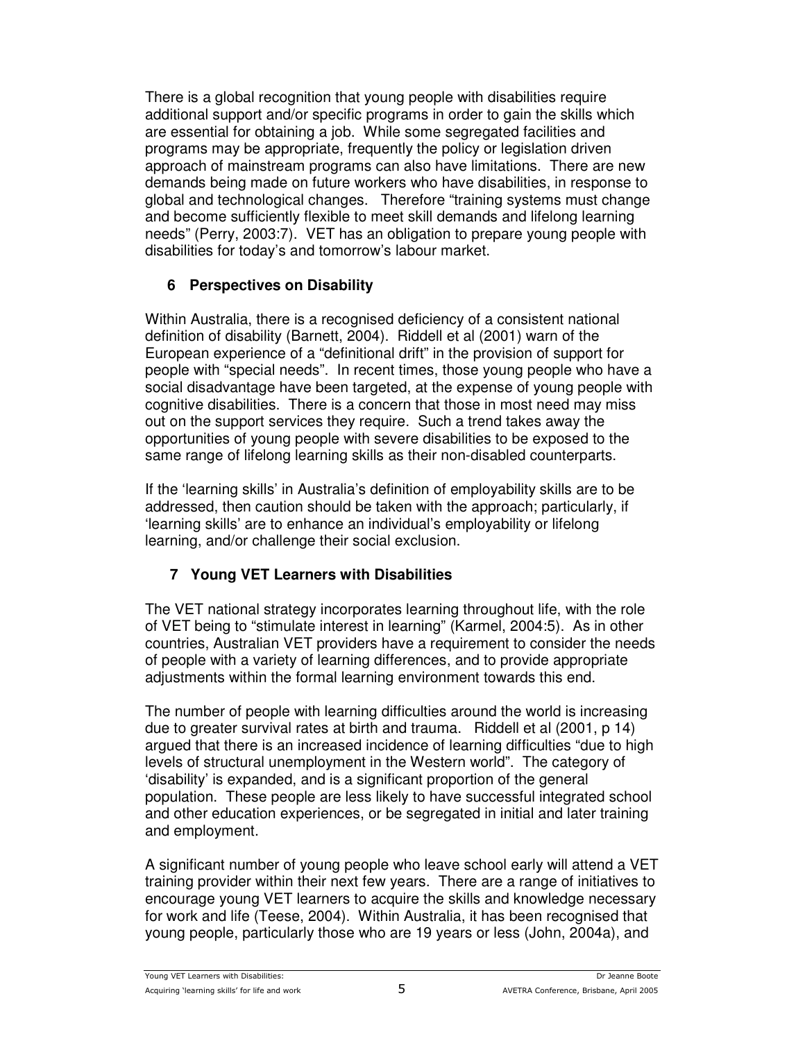There is a global recognition that young people with disabilities require additional support and/or specific programs in order to gain the skills which are essential for obtaining a job. While some segregated facilities and programs may be appropriate, frequently the policy or legislation driven approach of mainstream programs can also have limitations. There are new demands being made on future workers who have disabilities, in response to global and technological changes. Therefore "training systems must change and become sufficiently flexible to meet skill demands and lifelong learning needs" (Perry, 2003:7). VET has an obligation to prepare young people with disabilities for today's and tomorrow's labour market.

# **6 Perspectives on Disability**

Within Australia, there is a recognised deficiency of a consistent national definition of disability (Barnett, 2004). Riddell et al (2001) warn of the European experience of a "definitional drift" in the provision of support for people with "special needs". In recent times, those young people who have a social disadvantage have been targeted, at the expense of young people with cognitive disabilities. There is a concern that those in most need may miss out on the support services they require. Such a trend takes away the opportunities of young people with severe disabilities to be exposed to the same range of lifelong learning skills as their non-disabled counterparts.

If the 'learning skills' in Australia's definition of employability skills are to be addressed, then caution should be taken with the approach; particularly, if 'learning skills' are to enhance an individual's employability or lifelong learning, and/or challenge their social exclusion.

# **7 Young VET Learners with Disabilities**

The VET national strategy incorporates learning throughout life, with the role of VET being to "stimulate interest in learning" (Karmel, 2004:5). As in other countries, Australian VET providers have a requirement to consider the needs of people with a variety of learning differences, and to provide appropriate adjustments within the formal learning environment towards this end.

The number of people with learning difficulties around the world is increasing due to greater survival rates at birth and trauma. Riddell et al (2001, p 14) argued that there is an increased incidence of learning difficulties "due to high levels of structural unemployment in the Western world". The category of 'disability' is expanded, and is a significant proportion of the general population. These people are less likely to have successful integrated school and other education experiences, or be segregated in initial and later training and employment.

A significant number of young people who leave school early will attend a VET training provider within their next few years. There are a range of initiatives to encourage young VET learners to acquire the skills and knowledge necessary for work and life (Teese, 2004). Within Australia, it has been recognised that young people, particularly those who are 19 years or less (John, 2004a), and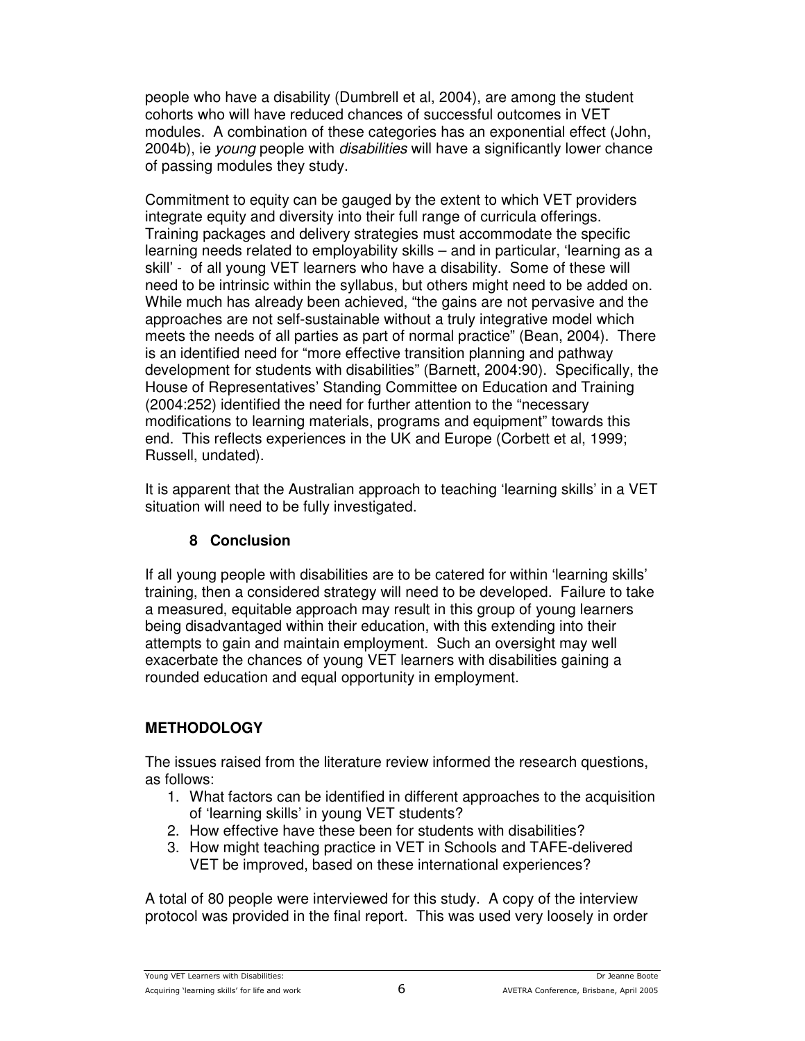people who have a disability (Dumbrell et al, 2004), are among the student cohorts who will have reduced chances of successful outcomes in VET modules. A combination of these categories has an exponential effect (John, 2004b), ie *young* people with *disabilities* will have a significantly lower chance of passing modules they study.

Commitment to equity can be gauged by the extent to which VET providers integrate equity and diversity into their full range of curricula offerings. Training packages and delivery strategies must accommodate the specific learning needs related to employability skills – and in particular, 'learning as a skill' - of all young VET learners who have a disability. Some of these will need to be intrinsic within the syllabus, but others might need to be added on. While much has already been achieved, "the gains are not pervasive and the approaches are not self-sustainable without a truly integrative model which meets the needs of all parties as part of normal practice" (Bean, 2004). There is an identified need for "more effective transition planning and pathway development for students with disabilities" (Barnett, 2004:90). Specifically, the House of Representatives' Standing Committee on Education and Training (2004:252) identified the need for further attention to the "necessary modifications to learning materials, programs and equipment" towards this end. This reflects experiences in the UK and Europe (Corbett et al, 1999; Russell, undated).

It is apparent that the Australian approach to teaching 'learning skills' in a VET situation will need to be fully investigated.

### **8 Conclusion**

If all young people with disabilities are to be catered for within 'learning skills' training, then a considered strategy will need to be developed. Failure to take a measured, equitable approach may result in this group of young learners being disadvantaged within their education, with this extending into their attempts to gain and maintain employment. Such an oversight may well exacerbate the chances of young VET learners with disabilities gaining a rounded education and equal opportunity in employment.

# **METHODOLOGY**

The issues raised from the literature review informed the research questions, as follows:

- 1. What factors can be identified in different approaches to the acquisition of 'learning skills' in young VET students?
- 2. How effective have these been for students with disabilities?
- 3. How might teaching practice in VET in Schools and TAFE-delivered VET be improved, based on these international experiences?

A total of 80 people were interviewed for this study. A copy of the interview protocol was provided in the final report. This was used very loosely in order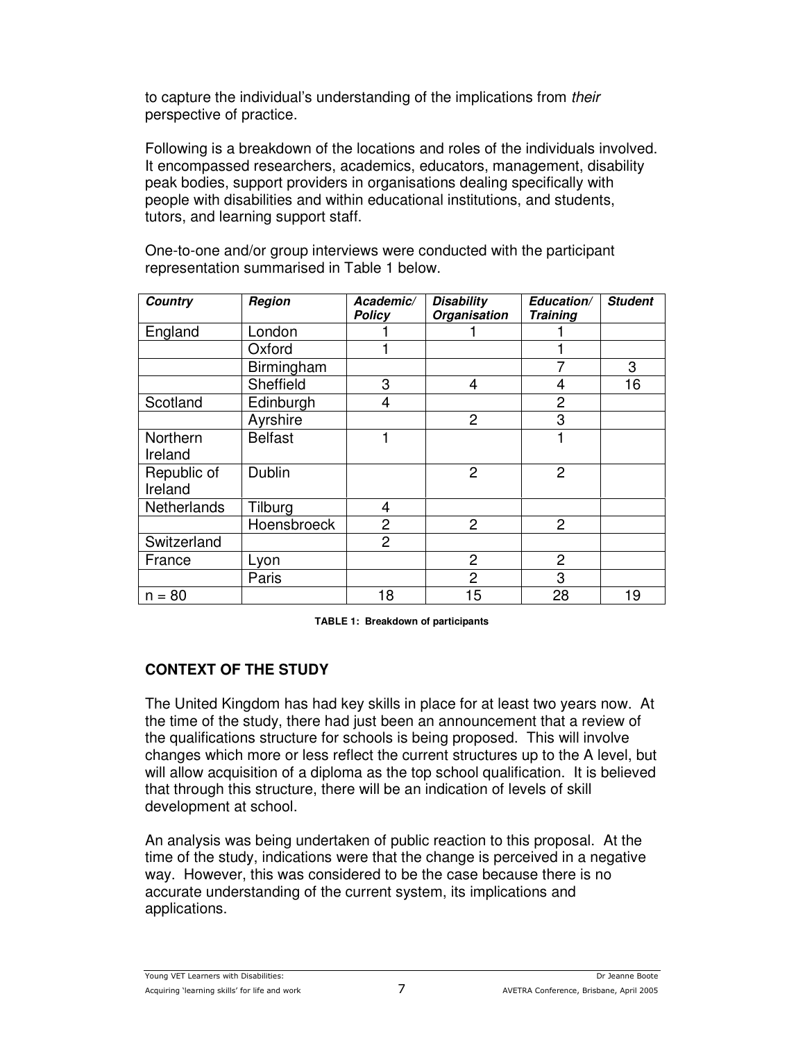to capture the individual's understanding of the implications from *their* perspective of practice.

Following is a breakdown of the locations and roles of the individuals involved. It encompassed researchers, academics, educators, management, disability peak bodies, support providers in organisations dealing specifically with people with disabilities and within educational institutions, and students, tutors, and learning support staff.

One-to-one and/or group interviews were conducted with the participant representation summarised in Table 1 below.

| <b>Country</b>     | Region         | Academic/      | <b>Disability</b> | Education/      | <b>Student</b> |
|--------------------|----------------|----------------|-------------------|-----------------|----------------|
|                    |                | Policy         | Organisation      | <b>Training</b> |                |
| England            | London         |                |                   |                 |                |
|                    | Oxford         |                |                   |                 |                |
|                    | Birmingham     |                |                   |                 | 3              |
|                    | Sheffield      | 3              | 4                 | 4               | 16             |
| Scotland           | Edinburgh      | 4              |                   | $\overline{2}$  |                |
|                    | Ayrshire       |                | $\overline{2}$    | 3               |                |
| Northern           | <b>Belfast</b> |                |                   |                 |                |
| Ireland            |                |                |                   |                 |                |
| Republic of        | Dublin         |                | $\overline{2}$    | $\overline{2}$  |                |
| Ireland            |                |                |                   |                 |                |
| <b>Netherlands</b> | Tilburg        | $\overline{4}$ |                   |                 |                |
|                    | Hoensbroeck    | $\overline{2}$ | $\overline{2}$    | $\overline{2}$  |                |
| Switzerland        |                | $\overline{2}$ |                   |                 |                |
| France             | Lyon           |                | $\overline{2}$    | $\overline{2}$  |                |
|                    | Paris          |                | $\overline{2}$    | 3               |                |
| $n = 80$           |                | 18             | 15                | 28              | 19             |

**TABLE 1: Breakdown of participants**

# **CONTEXT OF THE STUDY**

The United Kingdom has had key skills in place for at least two years now. At the time of the study, there had just been an announcement that a review of the qualifications structure for schools is being proposed. This will involve changes which more or less reflect the current structures up to the A level, but will allow acquisition of a diploma as the top school qualification. It is believed that through this structure, there will be an indication of levels of skill development at school.

An analysis was being undertaken of public reaction to this proposal. At the time of the study, indications were that the change is perceived in a negative way. However, this was considered to be the case because there is no accurate understanding of the current system, its implications and applications.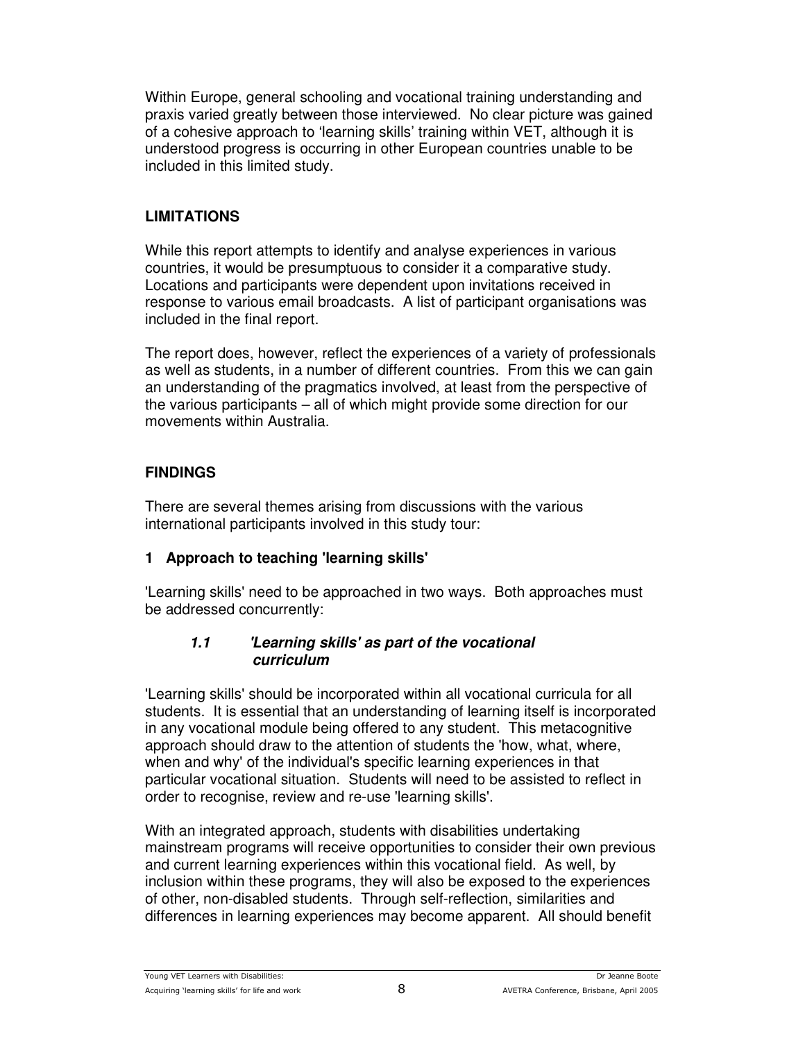Within Europe, general schooling and vocational training understanding and praxis varied greatly between those interviewed. No clear picture was gained of a cohesive approach to 'learning skills' training within VET, although it is understood progress is occurring in other European countries unable to be included in this limited study.

# **LIMITATIONS**

While this report attempts to identify and analyse experiences in various countries, it would be presumptuous to consider it a comparative study. Locations and participants were dependent upon invitations received in response to various email broadcasts. A list of participant organisations was included in the final report.

The report does, however, reflect the experiences of a variety of professionals as well as students, in a number of different countries. From this we can gain an understanding of the pragmatics involved, at least from the perspective of the various participants – all of which might provide some direction for our movements within Australia.

# **FINDINGS**

There are several themes arising from discussions with the various international participants involved in this study tour:

# **1 Approach to teaching 'learning skills'**

'Learning skills'need to be approached in two ways. Both approaches must be addressed concurrently:

### *1.1 'Learning skills' as part of the vocational curriculum*

'Learning skills' should be incorporated within all vocational curricula for all students. It is essential that an understanding of learning itself is incorporated in any vocational module being offered to any student. This metacognitive approach should draw to the attention of students the 'how, what, where, when and why' of the individual's specific learning experiences in that particular vocational situation. Students will need to be assisted to reflect in order to recognise, review and re-use 'learning skills'.

With an integrated approach, students with disabilities undertaking mainstream programs will receive opportunities to consider their own previous and current learning experiences within this vocational field. As well, by inclusion within these programs, they will also be exposed to the experiences of other, non-disabled students. Through self-reflection, similarities and differences in learning experiences may become apparent. All should benefit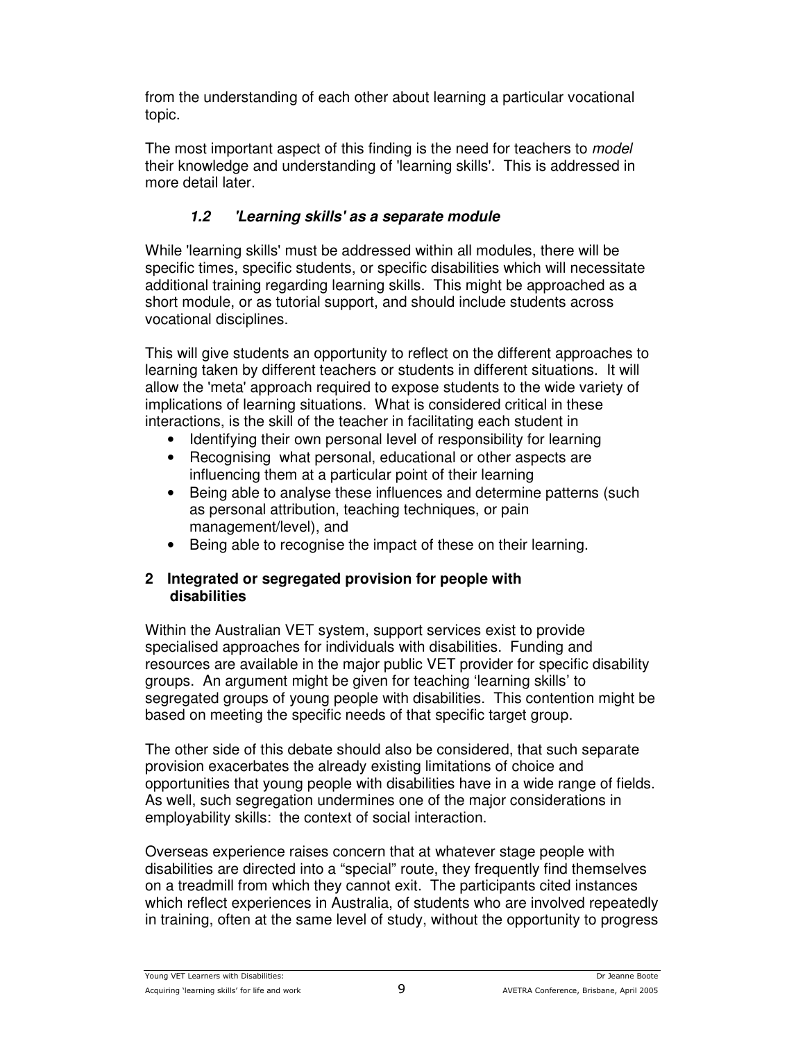from the understanding of each other about learning a particular vocational topic.

The most important aspect of this finding is the need for teachers to *model* their knowledge and understanding of 'learning skills'. This is addressed in more detail later.

# *1.2 'Learning skills' as a separate module*

While 'learning skills' must be addressed within all modules, there will be specific times, specific students, or specific disabilities which will necessitate additional training regarding learning skills. This might be approached as a short module, or as tutorial support, and should include students across vocational disciplines.

This will give students an opportunity to reflect on the different approaches to learning taken by different teachers or students in different situations. It will allow the 'meta' approach required to expose students to the wide variety of implications of learning situations. What is considered critical in these interactions, is the skill of the teacher in facilitating each student in

- Identifying their own personal level of responsibility for learning
- Recognising what personal, educational or other aspects are influencing them at a particular point of their learning
- Being able to analyse these influences and determine patterns (such as personal attribution, teaching techniques, or pain management/level), and
- Being able to recognise the impact of these on their learning.

### **2 Integrated or segregated provision for people with disabilities**

Within the Australian VET system, support services exist to provide specialised approaches for individuals with disabilities. Funding and resources are available in the major public VET provider for specific disability groups. An argument might be given for teaching 'learning skills' to segregated groups of young people with disabilities. This contention might be based on meeting the specific needs of that specific target group.

The other side of this debate should also be considered, that such separate provision exacerbates the already existing limitations of choice and opportunities that young people with disabilities have in a wide range of fields. As well, such segregation undermines one of the major considerations in employability skills: the context of social interaction.

Overseas experience raises concern that at whatever stage people with disabilities are directed into a "special" route, they frequently find themselves on a treadmill from which they cannot exit. The participants cited instances which reflect experiences in Australia, of students who are involved repeatedly in training, often at the same level of study, without the opportunity to progress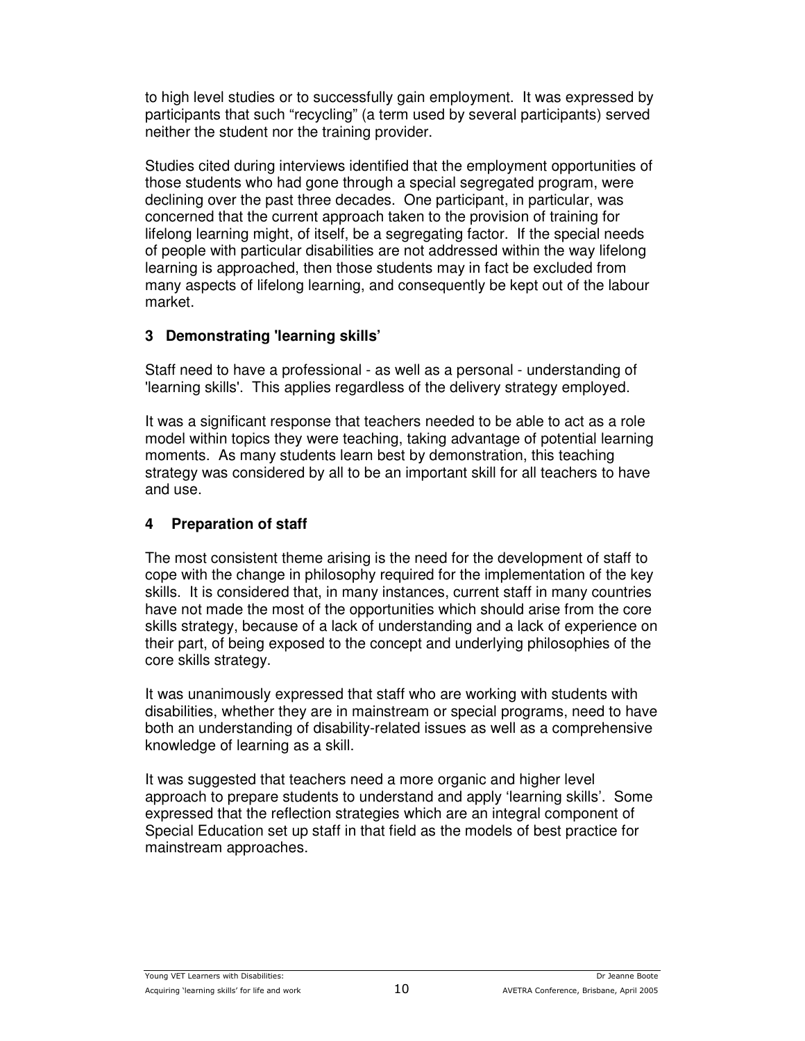to high level studies or to successfully gain employment. It was expressed by participants that such "recycling" (a term used by several participants) served neither the student nor the training provider.

Studies cited during interviews identified that the employment opportunities of those students who had gone through a special segregated program, were declining over the past three decades. One participant, in particular, was concerned that the current approach taken to the provision of training for lifelong learning might, of itself, be a segregating factor. If the special needs of people with particular disabilities are not addressed within the way lifelong learning is approached, then those students may in fact be excluded from many aspects of lifelong learning, and consequently be kept out of the labour market.

### **3 Demonstrating 'learning skills'**

Staff need to have a professional - as well as a personal - understanding of 'learning skills'. This applies regardless of the delivery strategy employed.

It was a significant response that teachers needed to be able to act as a role model within topics they were teaching, taking advantage of potential learning moments. As many students learn best by demonstration, this teaching strategy was considered by all to be an important skill for all teachers to have and use.

### **4 Preparation of staff**

The most consistent theme arising is the need for the development of staff to cope with the change in philosophy required for the implementation of the key skills. It is considered that, in many instances, current staff in many countries have not made the most of the opportunities which should arise from the core skills strategy, because of a lack of understanding and a lack of experience on their part, of being exposed to the concept and underlying philosophies of the core skills strategy.

It was unanimously expressed that staff who are working with students with disabilities, whether they are in mainstream or special programs, need to have both an understanding of disability-related issues as well as a comprehensive knowledge of learning as a skill.

It was suggested that teachers need a more organic and higher level approach to prepare students to understand and apply 'learning skills'. Some expressed that the reflection strategies which are an integral component of Special Education set up staff in that field as the models of best practice for mainstream approaches.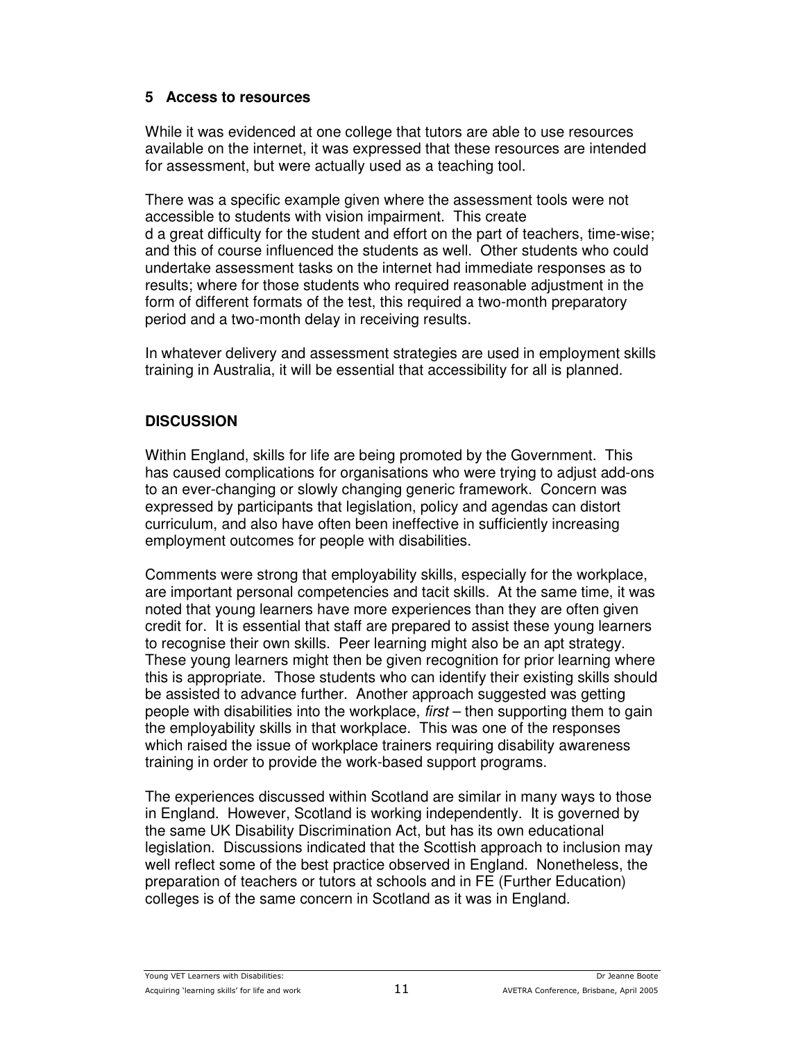### **5 Access to resources**

While it was evidenced at one college that tutors are able to use resources available on the internet, it was expressed that these resources are intended for assessment, but were actually used as a teaching tool.

There was a specific example given where the assessment tools were not accessible to students with vision impairment. This create d a great difficulty for the student and effort on the part of teachers, time-wise; and this of course influenced the students as well. Other students who could undertake assessment tasks on the internet had immediate responses as to results; where for those students who required reasonable adjustment in the form of different formats of the test, this required a two-month preparatory period and a two-month delay in receiving results.

In whatever delivery and assessment strategies are used in employment skills training in Australia, it will be essential that accessibility for all is planned.

### **DISCUSSION**

Within England, skills for life are being promoted by the Government. This has caused complications for organisations who were trying to adjust add-ons to an ever-changing or slowly changing generic framework. Concern was expressed by participants that legislation, policy and agendas can distort curriculum, and also have often been ineffective in sufficiently increasing employment outcomes for people with disabilities.

Comments were strong that employability skills, especially for the workplace, are important personal competencies and tacit skills. At the same time, it was noted that young learners have more experiences than they are often given credit for. It is essential that staff are prepared to assist these young learners to recognise their own skills. Peer learning might also be an apt strategy. These young learners might then be given recognition for prior learning where this is appropriate. Those students who can identify their existing skills should be assisted to advance further. Another approach suggested was getting people with disabilities into the workplace, *first* – then supporting them to gain the employability skills in that workplace. This was one of the responses which raised the issue of workplace trainers requiring disability awareness training in order to provide the work-based support programs.

The experiences discussed within Scotland are similar in many ways to those in England. However, Scotland is working independently. It is governed by the same UK Disability Discrimination Act, but has its own educational legislation. Discussions indicated that the Scottish approach to inclusion may well reflect some of the best practice observed in England. Nonetheless, the preparation of teachers or tutors at schools and in FE (Further Education) colleges is of the same concern in Scotland as it was in England.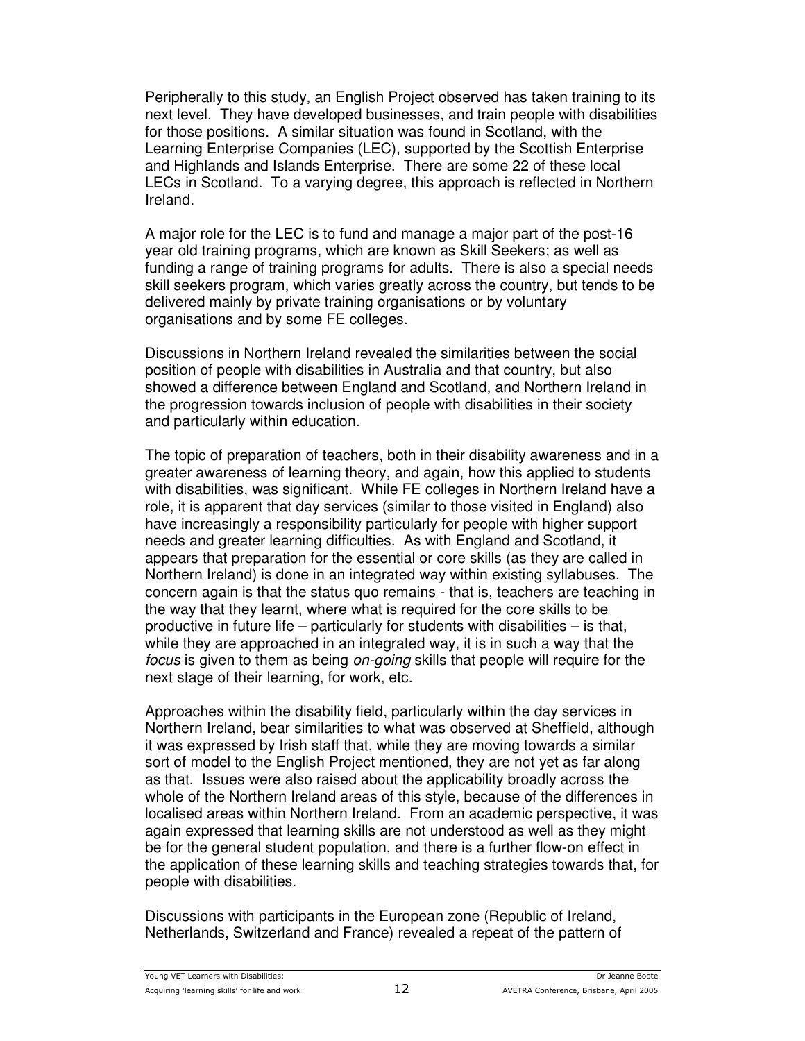Peripherally to this study, an English Project observed has taken training to its next level. They have developed businesses, and train people with disabilities for those positions. A similar situation was found in Scotland, with the Learning Enterprise Companies (LEC), supported by the Scottish Enterprise and Highlands and Islands Enterprise. There are some 22 of these local LECs in Scotland. To a varying degree, this approach is reflected in Northern Ireland.

A major role for the LEC is to fund and manage a major part of the post-16 year old training programs, which are known as Skill Seekers; as well as funding a range of training programs for adults. There is also a special needs skill seekers program, which varies greatly across the country, but tends to be delivered mainly by private training organisations or by voluntary organisations and by some FE colleges.

Discussions in Northern Ireland revealed the similarities between the social position of people with disabilities in Australia and that country, but also showed a difference between England and Scotland, and Northern Ireland in the progression towards inclusion of people with disabilities in their society and particularly within education.

The topic of preparation of teachers, both in their disability awareness and in a greater awareness of learning theory, and again, how this applied to students with disabilities, was significant. While FE colleges in Northern Ireland have a role, it is apparent that day services (similar to those visited in England) also have increasingly a responsibility particularly for people with higher support needs and greater learning difficulties. As with England and Scotland, it appears that preparation for the essential or core skills (as they are called in Northern Ireland) is done in an integrated way within existing syllabuses. The concern again is that the status quo remains - that is, teachers are teaching in the way that they learnt, where what is required for the core skills to be productive in future life – particularly for students with disabilities – is that, while they are approached in an integrated way, it is in such a way that the *focus* is given to them as being *on-going* skills that people will require for the next stage of their learning, for work, etc.

Approaches within the disability field, particularly within the day services in Northern Ireland, bear similarities to what was observed at Sheffield, although it was expressed by Irish staff that, while they are moving towards a similar sort of model to the English Project mentioned, they are not yet as far along as that. Issues were also raised about the applicability broadly across the whole of the Northern Ireland areas of this style, because of the differences in localised areas within Northern Ireland. From an academic perspective, it was again expressed that learning skills are not understood as well as they might be for the general student population, and there is a further flow-on effect in the application of these learning skills and teaching strategies towards that, for people with disabilities.

Discussions with participants in the European zone (Republic of Ireland, Netherlands, Switzerland and France) revealed a repeat of the pattern of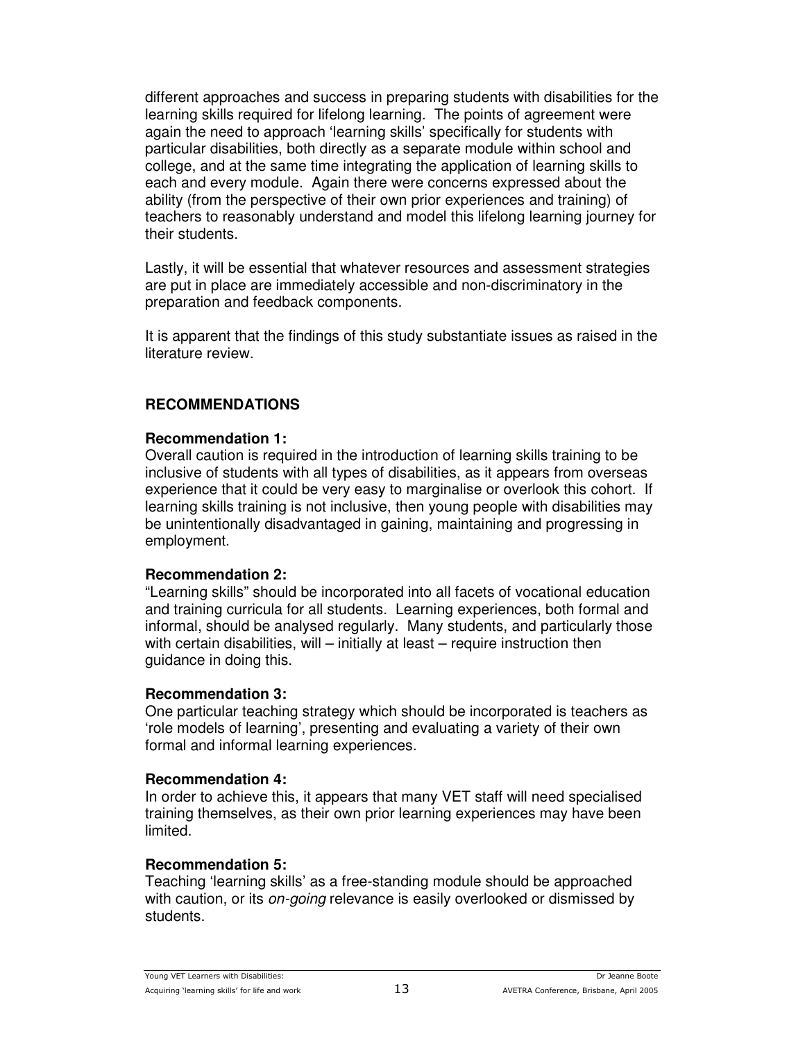different approaches and success in preparing students with disabilities for the learning skills required for lifelong learning. The points of agreement were again the need to approach 'learning skills' specifically for students with particular disabilities, both directly as a separate module within school and college, and at the same time integrating the application of learning skills to each and every module. Again there were concerns expressed about the ability (from the perspective of their own prior experiences and training) of teachers to reasonably understand and model this lifelong learning journey for their students.

Lastly, it will be essential that whatever resources and assessment strategies are put in place are immediately accessible and non-discriminatory in the preparation and feedback components.

It is apparent that the findings of this study substantiate issues as raised in the literature review.

#### **RECOMMENDATIONS**

#### **Recommendation 1:**

Overall caution is required in the introduction of learning skills training to be inclusive of students with all types of disabilities, as it appears from overseas experience that it could be very easy to marginalise or overlook this cohort. If learning skills training is not inclusive, then young people with disabilities may be unintentionally disadvantaged in gaining, maintaining and progressing in employment.

#### **Recommendation 2:**

"Learning skills" should be incorporated into all facets of vocational education and training curricula for all students. Learning experiences, both formal and informal, should be analysed regularly. Many students, and particularly those with certain disabilities, will – initially at least – require instruction then guidance in doing this.

#### **Recommendation 3:**

One particular teaching strategy which should be incorporated is teachers as 'role models of learning', presenting and evaluating a variety of their own formal and informal learning experiences.

#### **Recommendation 4:**

In order to achieve this, it appears that many VET staff will need specialised training themselves, as their own prior learning experiences may have been limited.

### **Recommendation 5:**

Teaching 'learning skills' as a free-standing module should be approached with caution, or its *on-going* relevance is easily overlooked or dismissed by students.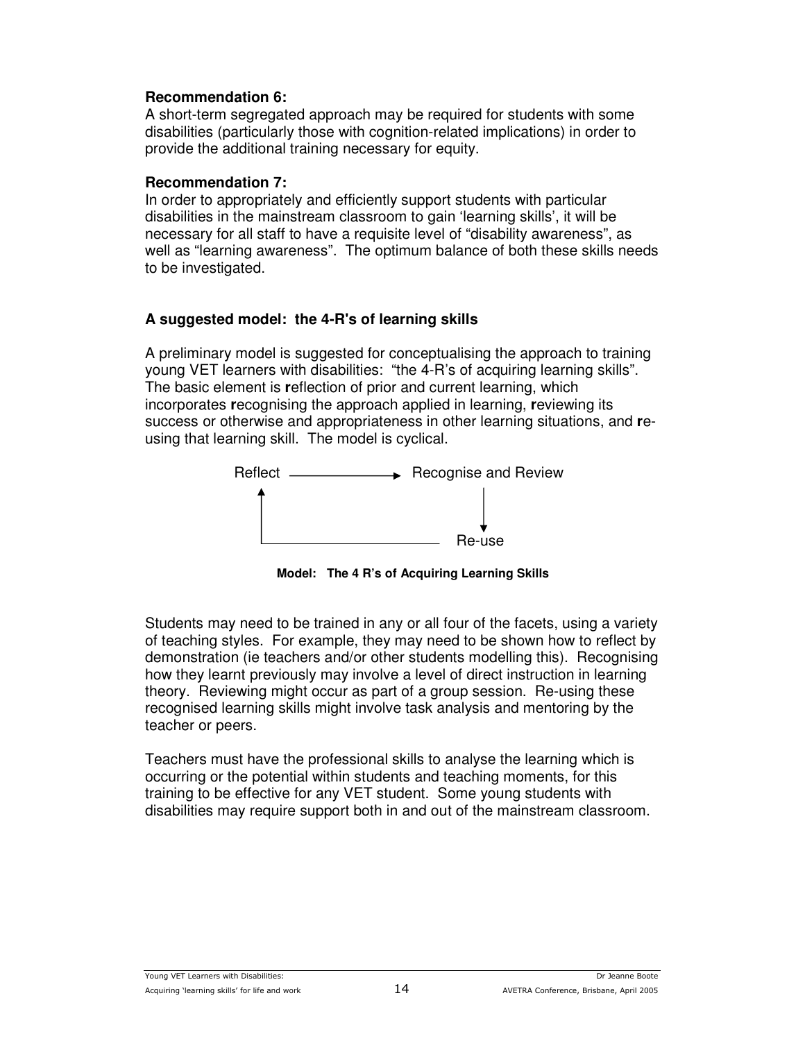#### **Recommendation 6:**

A short-term segregated approach may be required for students with some disabilities (particularly those with cognition-related implications) in order to provide the additional training necessary for equity.

#### **Recommendation 7:**

In order to appropriately and efficiently support students with particular disabilities in the mainstream classroom to gain 'learning skills', it will be necessary for all staff to have a requisite level of "disability awareness", as well as "learning awareness". The optimum balance of both these skills needs to be investigated.

### **A suggested model: the 4-R's of learning skills**

A preliminary model is suggested for conceptualising the approach to training young VET learners with disabilities: "the 4-R's of acquiring learning skills". The basic element is **r**eflection of prior and current learning, which incorporates **r**ecognising the approach applied in learning, **r**eviewing its success or otherwise and appropriateness in other learning situations, and **r**eusing that learning skill. The model is cyclical.



**Model: The 4 R's of Acquiring Learning Skills**

Students may need to be trained in any or all four of the facets, using a variety of teaching styles. For example, they may need to be shown how to reflect by demonstration (ie teachers and/or other students modelling this). Recognising how they learnt previously may involve a level of direct instruction in learning theory. Reviewing might occur as part of a group session. Re-using these recognised learning skills might involve task analysis and mentoring by the teacher or peers.

Teachers must have the professional skills to analyse the learning which is occurring or the potential within students and teaching moments, for this training to be effective for any VET student. Some young students with disabilities may require support both in and out of the mainstream classroom.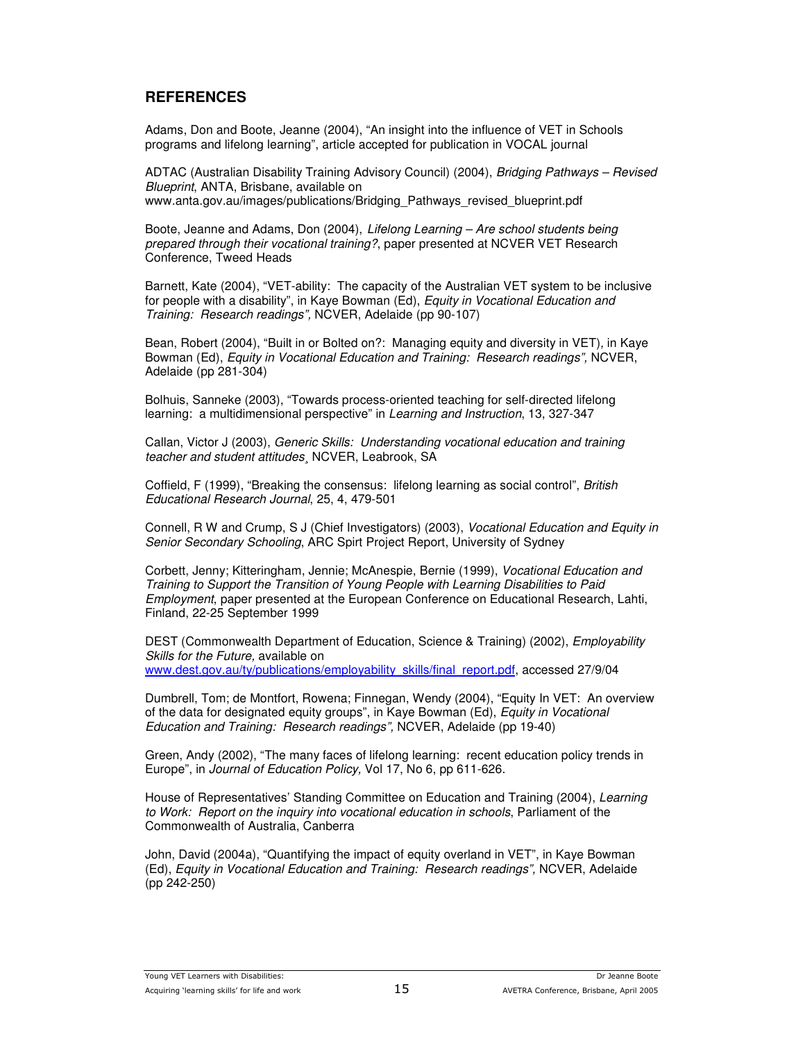#### **REFERENCES**

Adams, Don and Boote, Jeanne (2004), "An insight into the influence of VET in Schools programs and lifelong learning", article accepted for publication in VOCAL journal

ADTAC (Australian Disability Training Advisory Council) (2004), *Bridging Pathways – Revised Blueprint*, ANTA, Brisbane, available on www.anta.gov.au/images/publications/Bridging\_Pathways\_revised\_blueprint.pdf

Boote, Jeanne and Adams, Don (2004), *Lifelong Learning – Are school students being prepared through their vocational training?*, paper presented at NCVER VET Research Conference, Tweed Heads

Barnett, Kate (2004), "VET-ability: The capacity of the Australian VET system to be inclusive for people with a disability", in Kaye Bowman (Ed), *Equity in Vocational Education and Training: Research readings",* NCVER, Adelaide (pp 90-107)

Bean, Robert (2004), "Built in or Bolted on?: Managing equity and diversity in VET)*,* in Kaye Bowman (Ed), *Equity in Vocational Education and Training: Research readings",* NCVER, Adelaide (pp 281-304)

Bolhuis, Sanneke (2003), "Towards process-oriented teaching for self-directed lifelong learning: a multidimensional perspective" in *Learning and Instruction*, 13, 327-347

Callan, Victor J (2003), *Generic Skills: Understanding vocational education and training teacher and student attitudes*¸ NCVER, Leabrook, SA

Coffield, F (1999), "Breaking the consensus: lifelong learning as social control", *British Educational Research Journal*, 25, 4, 479-501

Connell, R W and Crump, S J (Chief Investigators) (2003), *Vocational Education and Equity in Senior Secondary Schooling*, ARC Spirt Project Report, University of Sydney

Corbett, Jenny; Kitteringham, Jennie; McAnespie, Bernie (1999), *Vocational Education and Training to Support the Transition of Young People with Learning Disabilities to Paid Employment*, paper presented at the European Conference on Educational Research, Lahti, Finland, 22-25 September 1999

DEST (Commonwealth Department of Education, Science & Training) (2002), *Employability Skills for the Future,* available on www.dest.gov.au/ty/publications/employability\_skills/final\_report.pdf, accessed 27/9/04

Dumbrell, Tom; de Montfort, Rowena; Finnegan, Wendy (2004), "Equity In VET: An overview of the data for designated equity groups", in Kaye Bowman (Ed), *Equity in Vocational Education and Training: Research readings",* NCVER, Adelaide (pp 19-40)

Green, Andy (2002), "The many faces of lifelong learning: recent education policy trends in Europe", in *Journal of Education Policy,* Vol 17, No 6, pp 611-626.

House of Representatives' Standing Committee on Education and Training (2004), *Learning to Work: Report on the inquiry into vocational education in schools*, Parliament of the Commonwealth of Australia, Canberra

John, David (2004a), "Quantifying the impact of equity overland in VET", in Kaye Bowman (Ed), *Equity in Vocational Education and Training: Research readings",* NCVER, Adelaide (pp 242-250)